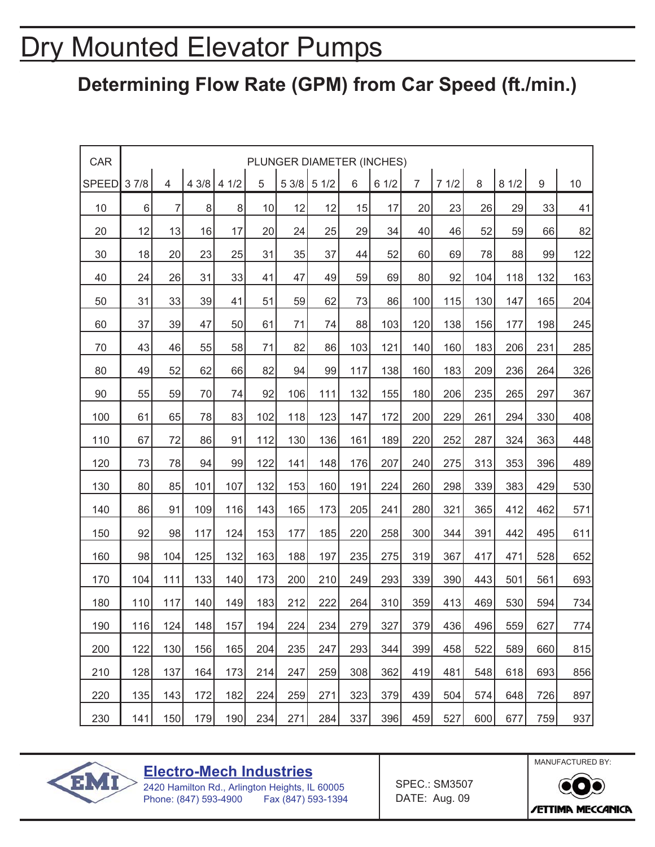# Dry Mounted Elevator Pumps

#### **Determining Flow Rate (GPM) from Car Speed (ft./min.)**

| CAR          |       |                |     |                |     |       |      |     | PLUNGER DIAMETER (INCHES) |                |      |     |      |     |     |
|--------------|-------|----------------|-----|----------------|-----|-------|------|-----|---------------------------|----------------|------|-----|------|-----|-----|
| <b>SPEED</b> | 37/8  | $\overline{4}$ |     | $43/8$ 4 $1/2$ | 5   | 5 3/8 | 51/2 | 6   | 61/2                      | $\overline{7}$ | 71/2 | 8   | 81/2 | 9   | 10  |
| 10           | $\,6$ | $\overline{7}$ | 8   | $\bf{8}$       | 10  | 12    | 12   | 15  | 17                        | 20             | 23   | 26  | 29   | 33  | 41  |
| 20           | 12    | 13             | 16  | 17             | 20  | 24    | 25   | 29  | 34                        | 40             | 46   | 52  | 59   | 66  | 82  |
| 30           | 18    | 20             | 23  | 25             | 31  | 35    | 37   | 44  | 52                        | 60             | 69   | 78  | 88   | 99  | 122 |
| 40           | 24    | 26             | 31  | 33             | 41  | 47    | 49   | 59  | 69                        | 80             | 92   | 104 | 118  | 132 | 163 |
| 50           | 31    | 33             | 39  | 41             | 51  | 59    | 62   | 73  | 86                        | 100            | 115  | 130 | 147  | 165 | 204 |
| 60           | 37    | 39             | 47  | 50             | 61  | 71    | 74   | 88  | 103                       | 120            | 138  | 156 | 177  | 198 | 245 |
| 70           | 43    | 46             | 55  | 58             | 71  | 82    | 86   | 103 | 121                       | 140            | 160  | 183 | 206  | 231 | 285 |
| 80           | 49    | 52             | 62  | 66             | 82  | 94    | 99   | 117 | 138                       | 160            | 183  | 209 | 236  | 264 | 326 |
| 90           | 55    | 59             | 70  | 74             | 92  | 106   | 111  | 132 | 155                       | 180            | 206  | 235 | 265  | 297 | 367 |
| 100          | 61    | 65             | 78  | 83             | 102 | 118   | 123  | 147 | 172                       | 200            | 229  | 261 | 294  | 330 | 408 |
| 110          | 67    | 72             | 86  | 91             | 112 | 130   | 136  | 161 | 189                       | 220            | 252  | 287 | 324  | 363 | 448 |
| 120          | 73    | 78             | 94  | 99             | 122 | 141   | 148  | 176 | 207                       | 240            | 275  | 313 | 353  | 396 | 489 |
| 130          | 80    | 85             | 101 | 107            | 132 | 153   | 160  | 191 | 224                       | 260            | 298  | 339 | 383  | 429 | 530 |
| 140          | 86    | 91             | 109 | 116            | 143 | 165   | 173  | 205 | 241                       | 280            | 321  | 365 | 412  | 462 | 571 |
| 150          | 92    | 98             | 117 | 124            | 153 | 177   | 185  | 220 | 258                       | 300            | 344  | 391 | 442  | 495 | 611 |
| 160          | 98    | 104            | 125 | 132            | 163 | 188   | 197  | 235 | 275                       | 319            | 367  | 417 | 471  | 528 | 652 |
| 170          | 104   | 111            | 133 | 140            | 173 | 200   | 210  | 249 | 293                       | 339            | 390  | 443 | 501  | 561 | 693 |
| 180          | 110   | 117            | 140 | 149            | 183 | 212   | 222  | 264 | 310                       | 359            | 413  | 469 | 530  | 594 | 734 |
| 190          | 116   | 124            | 148 | 157            | 194 | 224   | 234  | 279 | 327                       | 379            | 436  | 496 | 559  | 627 | 774 |
| 200          | 122   | 130            | 156 | 165            | 204 | 235   | 247  | 293 | 344                       | 399            | 458  | 522 | 589  | 660 | 815 |
| 210          | 128   | 137            | 164 | 173            | 214 | 247   | 259  | 308 | 362                       | 419            | 481  | 548 | 618  | 693 | 856 |
| 220          | 135   | 143            | 172 | 182            | 224 | 259   | 271  | 323 | 379                       | 439            | 504  | 574 | 648  | 726 | 897 |
| 230          | 141   | 150            | 179 | 190            | 234 | 271   | 284  | 337 | 396                       | 459            | 527  | 600 | 677  | 759 | 937 |



**Electro-Mech Industries**

SPEC.: SM3507 DATE: Aug. 09



2420 Hamilton Rd., Arlington Heights, IL 60005 Phone: (847) 593-4900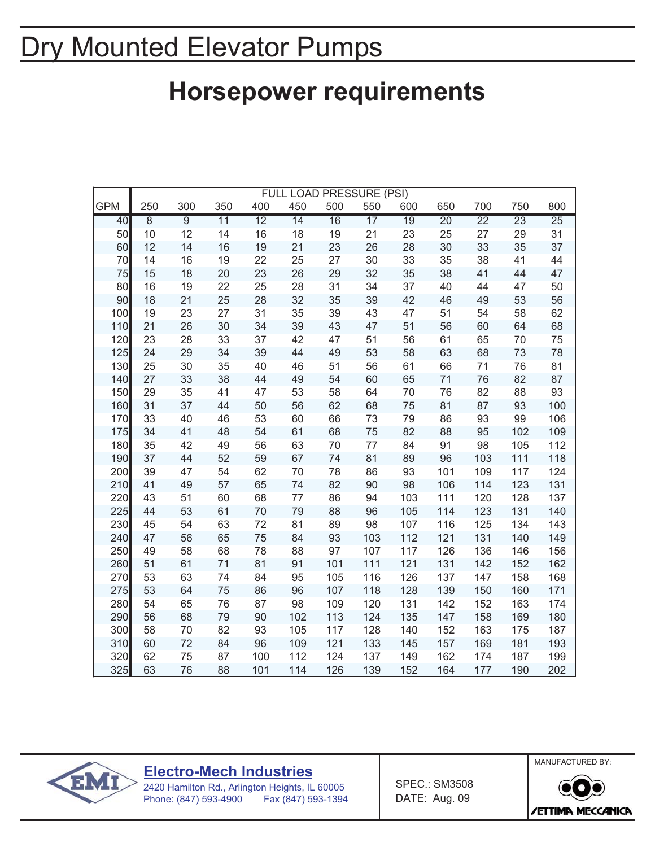# Dry Mounted Elevator Pumps

#### **Horsepower requirements**

|            |                |                |                 |                 | FULL LOAD PRESSURE (PSI) |                 |                 |                 |                 |                 |                 |                 |
|------------|----------------|----------------|-----------------|-----------------|--------------------------|-----------------|-----------------|-----------------|-----------------|-----------------|-----------------|-----------------|
| <b>GPM</b> | 250            | 300            | 350             | 400             | 450                      | 500             | 550             | 600             | 650             | 700             | 750             | 800             |
| 40         | $\overline{8}$ | $\overline{9}$ | $\overline{11}$ | $\overline{12}$ | $\overline{14}$          | $\overline{16}$ | $\overline{17}$ | $\overline{19}$ | $\overline{20}$ | $\overline{22}$ | $\overline{23}$ | $\overline{25}$ |
| 50         | 10             | 12             | 14              | 16              | 18                       | 19              | 21              | 23              | 25              | 27              | 29              | 31              |
| 60         | 12             | 14             | 16              | 19              | 21                       | 23              | 26              | 28              | 30              | 33              | 35              | 37              |
| 70         | 14             | 16             | 19              | 22              | 25                       | 27              | 30              | 33              | 35              | 38              | 41              | 44              |
| 75         | 15             | 18             | 20              | 23              | 26                       | 29              | 32              | 35              | 38              | 41              | 44              | 47              |
| 80         | 16             | 19             | 22              | 25              | 28                       | 31              | 34              | 37              | 40              | 44              | 47              | 50              |
| 90         | 18             | 21             | 25              | 28              | 32                       | 35              | 39              | 42              | 46              | 49              | 53              | 56              |
| 100        | 19             | 23             | 27              | 31              | 35                       | 39              | 43              | 47              | 51              | 54              | 58              | 62              |
| 110        | 21             | 26             | 30              | 34              | 39                       | 43              | 47              | 51              | 56              | 60              | 64              | 68              |
| 120        | 23             | 28             | 33              | 37              | 42                       | 47              | 51              | 56              | 61              | 65              | 70              | 75              |
| 125        | 24             | 29             | 34              | 39              | 44                       | 49              | 53              | 58              | 63              | 68              | 73              | 78              |
| 130        | 25             | 30             | 35              | 40              | 46                       | 51              | 56              | 61              | 66              | 71              | 76              | 81              |
| 140        | 27             | 33             | 38              | 44              | 49                       | 54              | 60              | 65              | 71              | 76              | 82              | 87              |
| 150        | 29             | 35             | 41              | 47              | 53                       | 58              | 64              | 70              | 76              | 82              | 88              | 93              |
| 160        | 31             | 37             | 44              | 50              | 56                       | 62              | 68              | 75              | 81              | 87              | 93              | 100             |
| 170        | 33             | 40             | 46              | 53              | 60                       | 66              | 73              | 79              | 86              | 93              | 99              | 106             |
| 175        | 34             | 41             | 48              | 54              | 61                       | 68              | 75              | 82              | 88              | 95              | 102             | 109             |
| 180        | 35             | 42             | 49              | 56              | 63                       | 70              | 77              | 84              | 91              | 98              | 105             | 112             |
| 190        | 37             | 44             | 52              | 59              | 67                       | 74              | 81              | 89              | 96              | 103             | 111             | 118             |
| 200        | 39             | 47             | 54              | 62              | 70                       | 78              | 86              | 93              | 101             | 109             | 117             | 124             |
| 210        | 41             | 49             | 57              | 65              | 74                       | 82              | 90              | 98              | 106             | 114             | 123             | 131             |
| 220        | 43             | 51             | 60              | 68              | 77                       | 86              | 94              | 103             | 111             | 120             | 128             | 137             |
| 225        | 44             | 53             | 61              | 70              | 79                       | 88              | 96              | 105             | 114             | 123             | 131             | 140             |
| 230        | 45             | 54             | 63              | 72              | 81                       | 89              | 98              | 107             | 116             | 125             | 134             | 143             |
| 240        | 47             | 56             | 65              | 75              | 84                       | 93              | 103             | 112             | 121             | 131             | 140             | 149             |
| 250        | 49             | 58             | 68              | 78              | 88                       | 97              | 107             | 117             | 126             | 136             | 146             | 156             |
| 260        | 51             | 61             | 71              | 81              | 91                       | 101             | 111             | 121             | 131             | 142             | 152             | 162             |
| 270        | 53             | 63             | 74              | 84              | 95                       | 105             | 116             | 126             | 137             | 147             | 158             | 168             |
| 275        | 53             | 64             | 75              | 86              | 96                       | 107             | 118             | 128             | 139             | 150             | 160             | 171             |
| 280        | 54             | 65             | 76              | 87              | 98                       | 109             | 120             | 131             | 142             | 152             | 163             | 174             |
| 290        | 56             | 68             | 79              | 90              | 102                      | 113             | 124             | 135             | 147             | 158             | 169             | 180             |
| 300        | 58             | 70             | 82              | 93              | 105                      | 117             | 128             | 140             | 152             | 163             | 175             | 187             |
| 310        | 60             | 72             | 84              | 96              | 109                      | 121             | 133             | 145             | 157             | 169             | 181             | 193             |
| 320        | 62             | 75             | 87              | 100             | 112                      | 124             | 137             | 149             | 162             | 174             | 187             | 199             |
| 325        | 63             | 76             | 88              | 101             | 114                      | 126             | 139             | 152             | 164             | 177             | 190             | 202             |



**Electro-Mech Industries**

2420 Hamilton Rd., Arlington Heights, IL 60005 Phone: (847) 593-4900 Fax (847) 593-1394 SPEC.: SM3508 DATE: Aug. 09

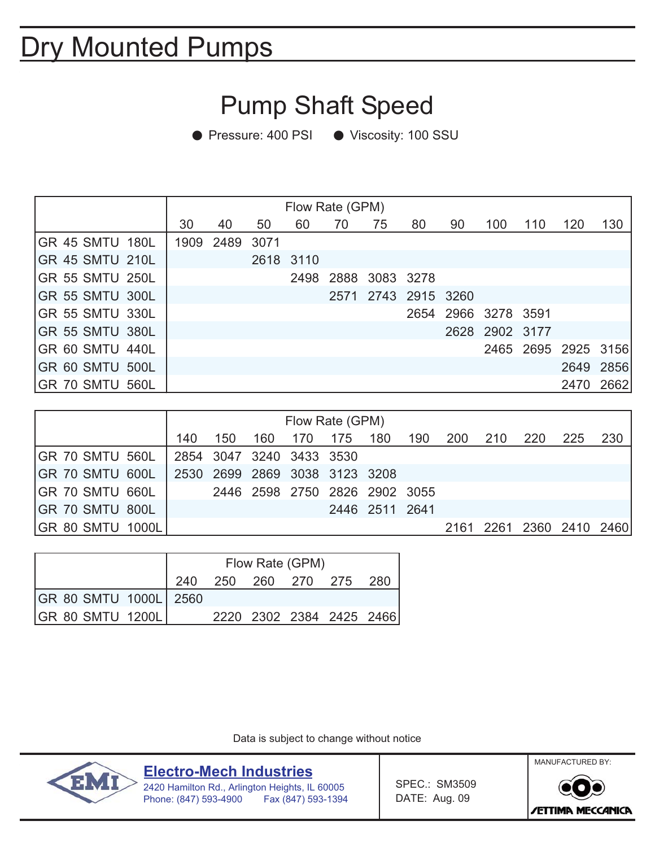# Dry Mounted Pumps

#### Pump Shaft Speed

● Pressure: 400 PSI ● Viscosity: 100 SSU

|                        |    | Flow Rate (GPM) |           |    |    |                     |                     |    |                     |     |                     |           |  |
|------------------------|----|-----------------|-----------|----|----|---------------------|---------------------|----|---------------------|-----|---------------------|-----------|--|
|                        | 30 | 40              | 50        | 60 | 70 | 75                  | 80                  | 90 | 100                 | 110 | 120                 | 130       |  |
| GR 45 SMTU 180L        |    | 1909 2489 3071  |           |    |    |                     |                     |    |                     |     |                     |           |  |
| <b>GR 45 SMTU 210L</b> |    |                 | 2618 3110 |    |    |                     |                     |    |                     |     |                     |           |  |
| <b>GR 55 SMTU 250L</b> |    |                 |           |    |    | 2498 2888 3083 3278 |                     |    |                     |     |                     |           |  |
| <b>GR 55 SMTU 300L</b> |    |                 |           |    |    |                     | 2571 2743 2915 3260 |    |                     |     |                     |           |  |
| <b>GR 55 SMTU 330L</b> |    |                 |           |    |    |                     |                     |    | 2654 2966 3278 3591 |     |                     |           |  |
| <b>GR 55 SMTU 380L</b> |    |                 |           |    |    |                     |                     |    | 2628 2902 3177      |     |                     |           |  |
| GR 60 SMTU 440L        |    |                 |           |    |    |                     |                     |    |                     |     | 2465 2695 2925 3156 |           |  |
| GR 60 SMTU 500L        |    |                 |           |    |    |                     |                     |    |                     |     |                     | 2649 2856 |  |
| GR 70 SMTU 560L        |    |                 |           |    |    |                     |                     |    |                     |     | 2470                | 2662      |  |

|                         |                          | Flow Rate (GPM) |                               |     |     |                |     |     |     |                          |      |     |  |
|-------------------------|--------------------------|-----------------|-------------------------------|-----|-----|----------------|-----|-----|-----|--------------------------|------|-----|--|
|                         | 140                      | 150             | 160                           | 170 | 175 | 180            | 190 | 200 | 210 | -220                     | -225 | 230 |  |
| IGR 70 SMTU 560L        | 2854 3047 3240 3433 3530 |                 |                               |     |     |                |     |     |     |                          |      |     |  |
| IGR 70 SMTU 600L        |                          |                 | 2530 2699 2869 3038 3123 3208 |     |     |                |     |     |     |                          |      |     |  |
| GR 70 SMTU 660L         |                          |                 | 2446 2598 2750 2826 2902 3055 |     |     |                |     |     |     |                          |      |     |  |
| IGR 70 SMTU 800L        |                          |                 |                               |     |     | 2446 2511 2641 |     |     |     |                          |      |     |  |
| <b>GR 80 SMTU 1000L</b> |                          |                 |                               |     |     |                |     |     |     | 2161 2261 2360 2410 2460 |      |     |  |

|                         | Flow Rate (GPM) |  |                     |                          |     |  |  |  |  |  |  |
|-------------------------|-----------------|--|---------------------|--------------------------|-----|--|--|--|--|--|--|
|                         |                 |  | 240 250 260 270 275 |                          | 280 |  |  |  |  |  |  |
| GR 80 SMTU 1000L 2560   |                 |  |                     |                          |     |  |  |  |  |  |  |
| <b>GR 80 SMTU 1200L</b> |                 |  |                     | 2220 2302 2384 2425 2466 |     |  |  |  |  |  |  |

Data is subject to change without notice



**Electro-Mech Industries**

2420 Hamilton Rd., Arlington Heights, IL 60005 Phone: (847) 593-4900 Fax (847) 593-1394 SPEC.: SM3509 DATE: Aug. 09